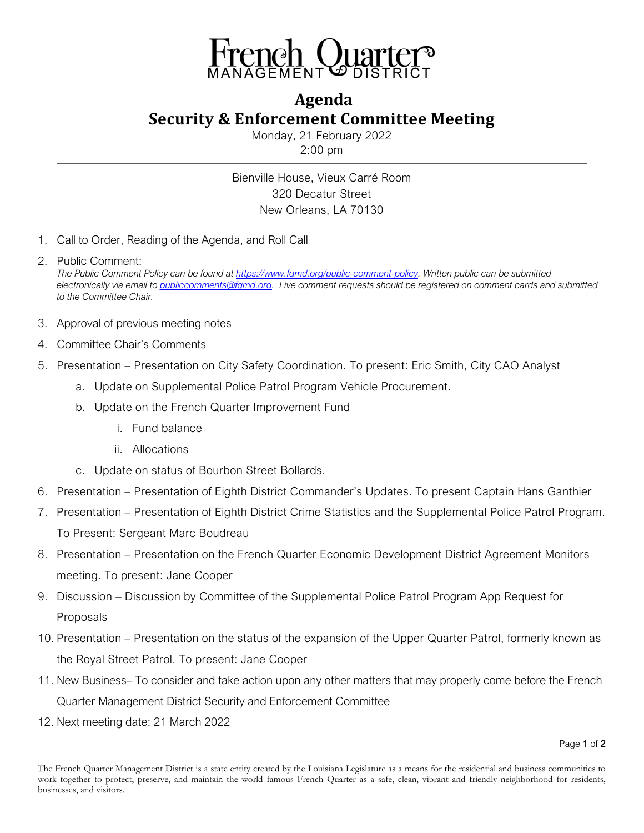

## **Agenda Security & Enforcement Committee Meeting**

Monday, 21 February 2022 2:00 pm

Bienville House, Vieux Carré Room 320 Decatur Street New Orleans, LA 70130

- 1. Call to Order, Reading of the Agenda, and Roll Call
- 2. Public Comment: *The Public Comment Policy can be found a[t https://www.fqmd.org/public-comment-policy.](https://www.fqmd.org/public-comment-policy) Written public can be submitted electronically via email to [publiccomments@fqmd.org.](mailto:publiccomments@fqmd.org) Live comment requests should be registered on comment cards and submitted to the Committee Chair.*
- 3. Approval of previous meeting notes
- 4. Committee Chair's Comments
- 5. Presentation Presentation on City Safety Coordination. To present: Eric Smith, City CAO Analyst
	- a. Update on Supplemental Police Patrol Program Vehicle Procurement.
	- b. Update on the French Quarter Improvement Fund
		- i. Fund balance
		- ii. Allocations
	- c. Update on status of Bourbon Street Bollards.
- 6. Presentation Presentation of Eighth District Commander's Updates. To present Captain Hans Ganthier
- 7. Presentation Presentation of Eighth District Crime Statistics and the Supplemental Police Patrol Program. To Present: Sergeant Marc Boudreau
- 8. Presentation Presentation on the French Quarter Economic Development District Agreement Monitors meeting. To present: Jane Cooper
- 9. Discussion Discussion by Committee of the Supplemental Police Patrol Program App Request for Proposals
- 10. Presentation Presentation on the status of the expansion of the Upper Quarter Patrol, formerly known as the Royal Street Patrol. To present: Jane Cooper
- 11. New Business– To consider and take action upon any other matters that may properly come before the French Quarter Management District Security and Enforcement Committee
- 12. Next meeting date: 21 March 2022